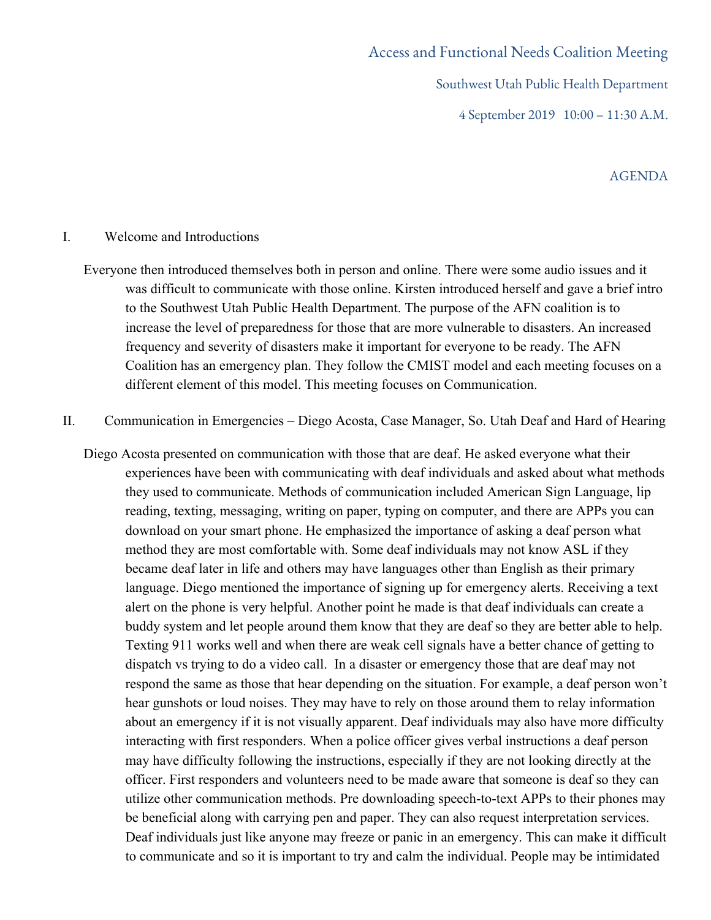# Access and Functional Needs Coalition Meeting Southwest Utah Public Health Department 4 September 2019 10:00 – 11:30 A.M.

## AGENDA

#### I. Welcome and Introductions

- Everyone then introduced themselves both in person and online. There were some audio issues and it was difficult to communicate with those online. Kirsten introduced herself and gave a brief intro to the Southwest Utah Public Health Department. The purpose of the AFN coalition is to increase the level of preparedness for those that are more vulnerable to disasters. An increased frequency and severity of disasters make it important for everyone to be ready. The AFN Coalition has an emergency plan. They follow the CMIST model and each meeting focuses on a different element of this model. This meeting focuses on Communication.
- II. Communication in Emergencies Diego Acosta, Case Manager, So. Utah Deaf and Hard of Hearing
	- Diego Acosta presented on communication with those that are deaf. He asked everyone what their experiences have been with communicating with deaf individuals and asked about what methods they used to communicate. Methods of communication included American Sign Language, lip reading, texting, messaging, writing on paper, typing on computer, and there are APPs you can download on your smart phone. He emphasized the importance of asking a deaf person what method they are most comfortable with. Some deaf individuals may not know ASL if they became deaf later in life and others may have languages other than English as their primary language. Diego mentioned the importance of signing up for emergency alerts. Receiving a text alert on the phone is very helpful. Another point he made is that deaf individuals can create a buddy system and let people around them know that they are deaf so they are better able to help. Texting 911 works well and when there are weak cell signals have a better chance of getting to dispatch vs trying to do a video call. In a disaster or emergency those that are deaf may not respond the same as those that hear depending on the situation. For example, a deaf person won't hear gunshots or loud noises. They may have to rely on those around them to relay information about an emergency if it is not visually apparent. Deaf individuals may also have more difficulty interacting with first responders. When a police officer gives verbal instructions a deaf person may have difficulty following the instructions, especially if they are not looking directly at the officer. First responders and volunteers need to be made aware that someone is deaf so they can utilize other communication methods. Pre downloading speech-to-text APPs to their phones may be beneficial along with carrying pen and paper. They can also request interpretation services. Deaf individuals just like anyone may freeze or panic in an emergency. This can make it difficult to communicate and so it is important to try and calm the individual. People may be intimidated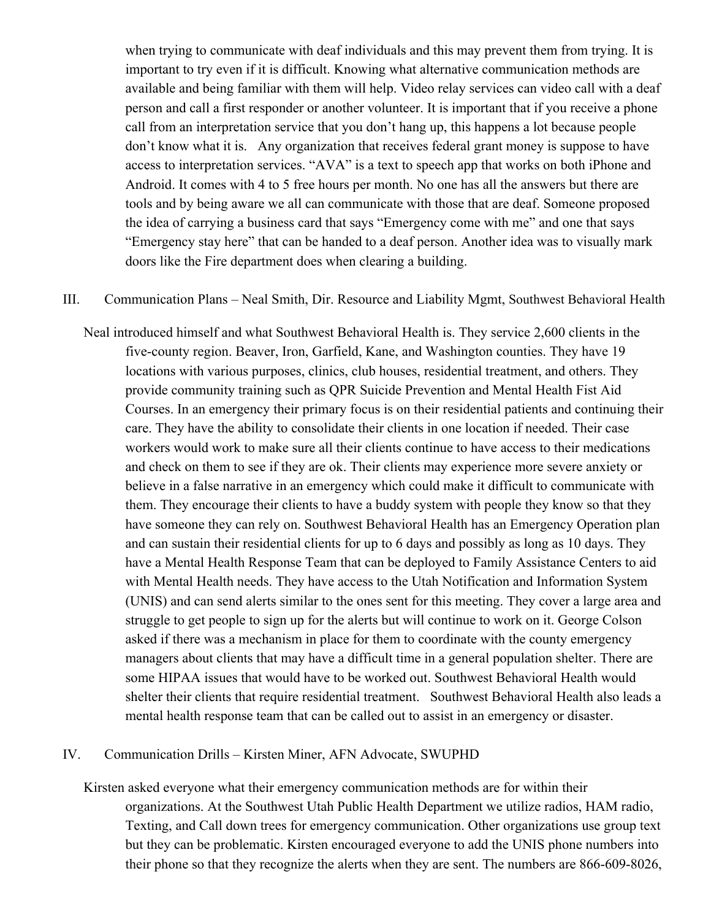when trying to communicate with deaf individuals and this may prevent them from trying. It is important to try even if it is difficult. Knowing what alternative communication methods are available and being familiar with them will help. Video relay services can video call with a deaf person and call a first responder or another volunteer. It is important that if you receive a phone call from an interpretation service that you don't hang up, this happens a lot because people don't know what it is. Any organization that receives federal grant money is suppose to have access to interpretation services. "AVA" is a text to speech app that works on both iPhone and Android. It comes with 4 to 5 free hours per month. No one has all the answers but there are tools and by being aware we all can communicate with those that are deaf. Someone proposed the idea of carrying a business card that says "Emergency come with me" and one that says "Emergency stay here" that can be handed to a deaf person. Another idea was to visually mark doors like the Fire department does when clearing a building.

#### III. Communication Plans – Neal Smith, Dir. Resource and Liability Mgmt, Southwest Behavioral Health

Neal introduced himself and what Southwest Behavioral Health is. They service 2,600 clients in the five-county region. Beaver, Iron, Garfield, Kane, and Washington counties. They have 19 locations with various purposes, clinics, club houses, residential treatment, and others. They provide community training such as QPR Suicide Prevention and Mental Health Fist Aid Courses. In an emergency their primary focus is on their residential patients and continuing their care. They have the ability to consolidate their clients in one location if needed. Their case workers would work to make sure all their clients continue to have access to their medications and check on them to see if they are ok. Their clients may experience more severe anxiety or believe in a false narrative in an emergency which could make it difficult to communicate with them. They encourage their clients to have a buddy system with people they know so that they have someone they can rely on. Southwest Behavioral Health has an Emergency Operation plan and can sustain their residential clients for up to 6 days and possibly as long as 10 days. They have a Mental Health Response Team that can be deployed to Family Assistance Centers to aid with Mental Health needs. They have access to the Utah Notification and Information System (UNIS) and can send alerts similar to the ones sent for this meeting. They cover a large area and struggle to get people to sign up for the alerts but will continue to work on it. George Colson asked if there was a mechanism in place for them to coordinate with the county emergency managers about clients that may have a difficult time in a general population shelter. There are some HIPAA issues that would have to be worked out. Southwest Behavioral Health would shelter their clients that require residential treatment. Southwest Behavioral Health also leads a mental health response team that can be called out to assist in an emergency or disaster.

#### IV. Communication Drills – Kirsten Miner, AFN Advocate, SWUPHD

Kirsten asked everyone what their emergency communication methods are for within their organizations. At the Southwest Utah Public Health Department we utilize radios, HAM radio, Texting, and Call down trees for emergency communication. Other organizations use group text but they can be problematic. Kirsten encouraged everyone to add the UNIS phone numbers into their phone so that they recognize the alerts when they are sent. The numbers are 866-609-8026,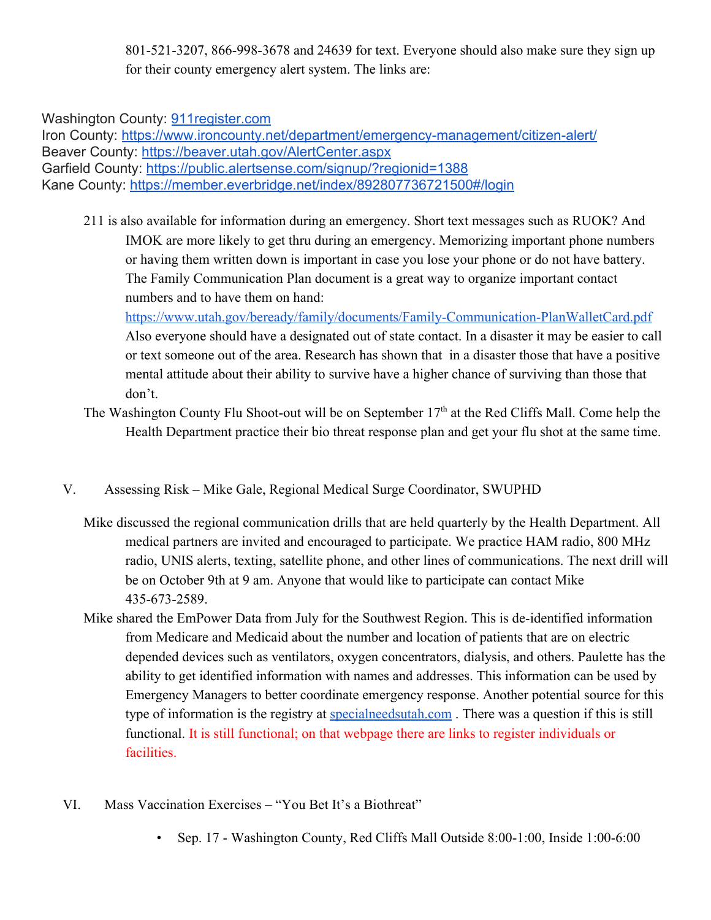801-521-3207, 866-998-3678 and 24639 for text. Everyone should also make sure they sign up for their county emergency alert system. The links are:

Washington County: [911register.com](http://911register.com/)

Iron County: <https://www.ironcounty.net/department/emergency-management/citizen-alert/> Beaver County: <https://beaver.utah.gov/AlertCenter.aspx> Garfield County: <https://public.alertsense.com/signup/?regionid=1388> Kane County: <https://member.everbridge.net/index/892807736721500#/login>

211 is also available for information during an emergency. Short text messages such as RUOK? And IMOK are more likely to get thru during an emergency. Memorizing important phone numbers or having them written down is important in case you lose your phone or do not have battery. The Family Communication Plan document is a great way to organize important contact numbers and to have them on hand:

<https://www.utah.gov/beready/family/documents/Family-Communication-PlanWalletCard.pdf> Also everyone should have a designated out of state contact. In a disaster it may be easier to call or text someone out of the area. Research has shown that in a disaster those that have a positive mental attitude about their ability to survive have a higher chance of surviving than those that don't.

- The Washington County Flu Shoot-out will be on September 17<sup>th</sup> at the Red Cliffs Mall. Come help the Health Department practice their bio threat response plan and get your flu shot at the same time.
- V. Assessing Risk Mike Gale, Regional Medical Surge Coordinator, SWUPHD
	- Mike discussed the regional communication drills that are held quarterly by the Health Department. All medical partners are invited and encouraged to participate. We practice HAM radio, 800 MHz radio, UNIS alerts, texting, satellite phone, and other lines of communications. The next drill will be on October 9th at 9 am. Anyone that would like to participate can contact Mike 435-673-2589.
	- Mike shared the EmPower Data from July for the Southwest Region. This is de-identified information from Medicare and Medicaid about the number and location of patients that are on electric depended devices such as ventilators, oxygen concentrators, dialysis, and others. Paulette has the ability to get identified information with names and addresses. This information can be used by Emergency Managers to better coordinate emergency response. Another potential source for this type of information is the registry at [specialneedsutah.com](https://specialneedsutah.org/) . There was a question if this is still functional. It is still functional; on that webpage there are links to register individuals or facilities.
- VI. Mass Vaccination Exercises "You Bet It's a Biothreat"
	- Sep. 17 Washington County, Red Cliffs Mall Outside 8:00-1:00, Inside 1:00-6:00